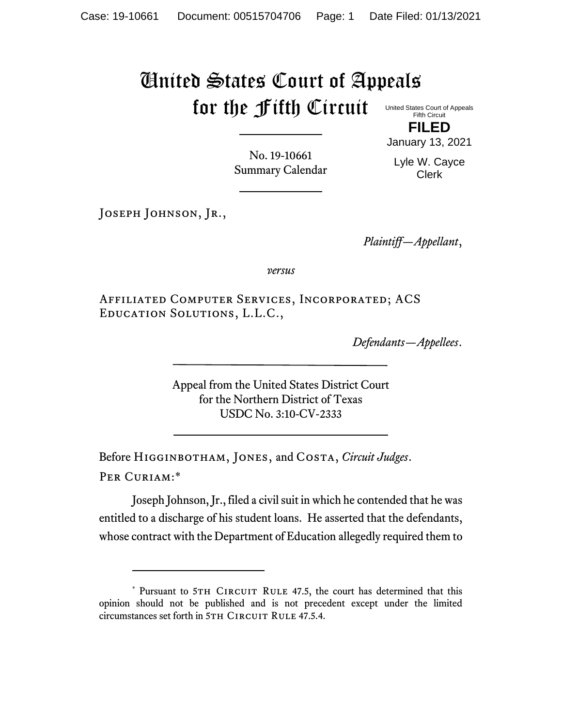## United States Court of Appeals for the Fifth Circuit

United States Court of Appeals Fifth Circuit **FILED**

No. 19-10661 Summary Calendar January 13, 2021

Lyle W. Cayce Clerk

JOSEPH JOHNSON, JR.,

*Plaintiff—Appellant*,

*versus*

Affiliated Computer Services, Incorporated; ACS Education Solutions, L.L.C.,

*Defendants—Appellees*.

Appeal from the United States District Court for the Northern District of Texas USDC No. 3:10-CV-2333

Before Higginbotham, Jones, and Costa, *Circuit Judges*. Per Curiam:\*

Joseph Johnson, Jr., filed a civil suit in which he contended that he was entitled to a discharge of his student loans. He asserted that the defendants, whose contract with the Department of Education allegedly required them to

<sup>\*</sup> Pursuant to 5TH CIRCUIT RULE 47.5, the court has determined that this opinion should not be published and is not precedent except under the limited circumstances set forth in 5TH CIRCUIT RULE 47.5.4.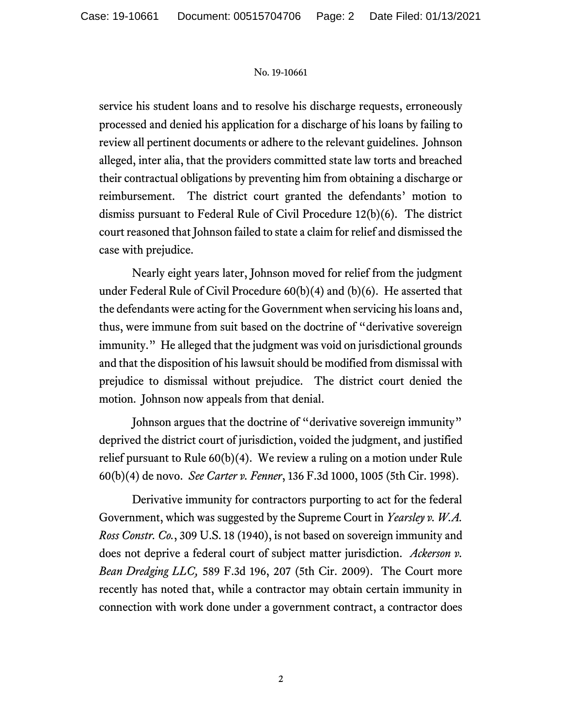## No. 19-10661

service his student loans and to resolve his discharge requests, erroneously processed and denied his application for a discharge of his loans by failing to review all pertinent documents or adhere to the relevant guidelines. Johnson alleged, inter alia, that the providers committed state law torts and breached their contractual obligations by preventing him from obtaining a discharge or reimbursement. The district court granted the defendants' motion to dismiss pursuant to Federal Rule of Civil Procedure 12(b)(6). The district court reasoned that Johnson failed to state a claim for relief and dismissed the case with prejudice.

Nearly eight years later, Johnson moved for relief from the judgment under Federal Rule of Civil Procedure 60(b)(4) and (b)(6). He asserted that the defendants were acting for the Government when servicing his loans and, thus, were immune from suit based on the doctrine of "derivative sovereign immunity." He alleged that the judgment was void on jurisdictional grounds and that the disposition of his lawsuit should be modified from dismissal with prejudice to dismissal without prejudice. The district court denied the motion. Johnson now appeals from that denial.

Johnson argues that the doctrine of "derivative sovereign immunity" deprived the district court of jurisdiction, voided the judgment, and justified relief pursuant to Rule 60(b)(4). We review a ruling on a motion under Rule 60(b)(4) de novo. *See Carter v. Fenner*, 136 F.3d 1000, 1005 (5th Cir. 1998).

Derivative immunity for contractors purporting to act for the federal Government, which was suggested by the Supreme Court in *Yearsley v. W.A. Ross Constr. Co.*, 309 U.S. 18 (1940), is not based on sovereign immunity and does not deprive a federal court of subject matter jurisdiction. *Ackerson v. Bean Dredging LLC,* 589 F.3d 196, 207 (5th Cir. 2009). The Court more recently has noted that, while a contractor may obtain certain immunity in connection with work done under a government contract, a contractor does